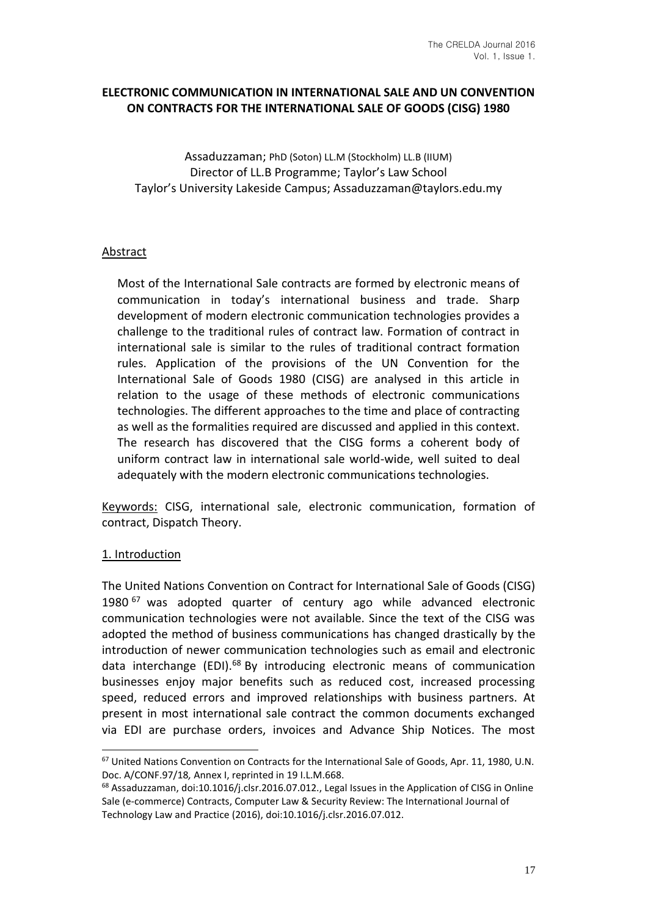## **ELECTRONIC COMMUNICATION IN INTERNATIONAL SALE AND UN CONVENTION ON CONTRACTS FOR THE INTERNATIONAL SALE OF GOODS (CISG) 1980**

Assaduzzaman; PhD (Soton) LL.M (Stockholm) LL.B (IIUM) Director of LL.B Programme; Taylor's Law School Taylor's University Lakeside Campus; Assaduzzaman@taylors.edu.my

### Abstract

Most of the International Sale contracts are formed by electronic means of communication in today's international business and trade. Sharp development of modern electronic communication technologies provides a challenge to the traditional rules of contract law. Formation of contract in international sale is similar to the rules of traditional contract formation rules. Application of the provisions of the UN Convention for the International Sale of Goods 1980 (CISG) are analysed in this article in relation to the usage of these methods of electronic communications technologies. The different approaches to the time and place of contracting as well as the formalities required are discussed and applied in this context. The research has discovered that the CISG forms a coherent body of uniform contract law in international sale world-wide, well suited to deal adequately with the modern electronic communications technologies.

Keywords: CISG, international sale, electronic communication, formation of contract, Dispatch Theory.

### 1. Introduction

The United Nations Convention on Contract for International Sale of Goods (CISG) 1980 <sup>67</sup> was adopted quarter of century ago while advanced electronic communication technologies were not available. Since the text of the CISG was adopted the method of business communications has changed drastically by the introduction of newer communication technologies such as email and electronic data interchange (EDI).<sup>68</sup> By introducing electronic means of communication businesses enjoy major benefits such as reduced cost, increased processing speed, reduced errors and improved relationships with business partners. At present in most international sale contract the common documents exchanged via EDI are purchase orders, invoices and Advance Ship Notices. The most

<sup>67</sup> United Nations Convention on Contracts for the International Sale of Goods, Apr. 11, 1980, U.N. Doc. A/CONF.97/18*,* Annex I, reprinted in 19 I.L.M.668.

<sup>&</sup>lt;sup>68</sup> Assaduzzaman, doi:10.1016/j.clsr.2016.07.012., Legal Issues in the Application of CISG in Online Sale (e-commerce) Contracts, Computer Law & Security Review: The International Journal of Technology Law and Practice (2016), doi:10.1016/j.clsr.2016.07.012.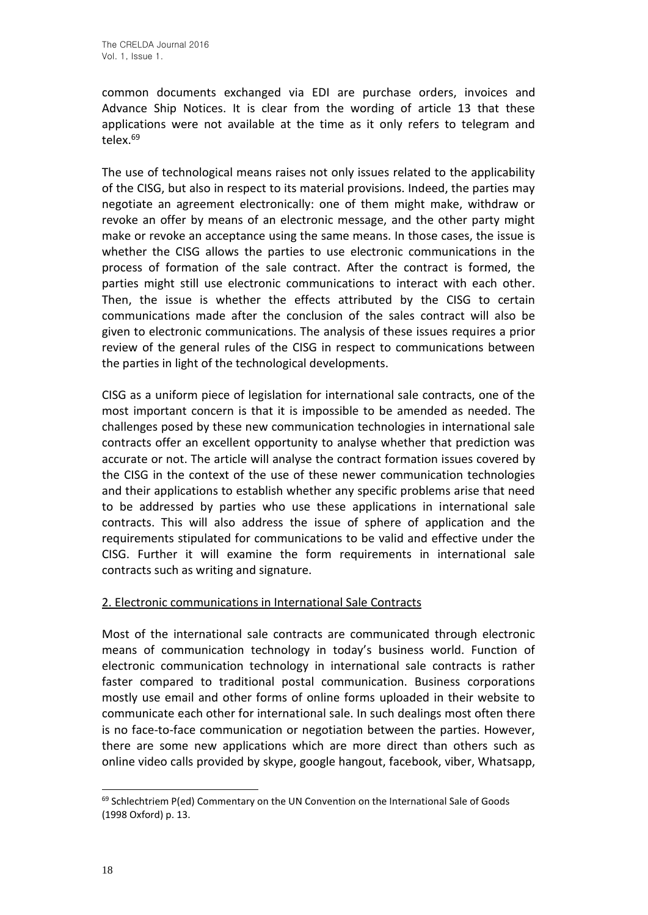common documents exchanged via EDI are purchase orders, invoices and Advance Ship Notices. It is clear from the wording of article 13 that these applications were not available at the time as it only refers to telegram and telex $69$ 

The use of technological means raises not only issues related to the applicability of the CISG, but also in respect to its material provisions. Indeed, the parties may negotiate an agreement electronically: one of them might make, withdraw or revoke an offer by means of an electronic message, and the other party might make or revoke an acceptance using the same means. In those cases, the issue is whether the CISG allows the parties to use electronic communications in the process of formation of the sale contract. After the contract is formed, the parties might still use electronic communications to interact with each other. Then, the issue is whether the effects attributed by the CISG to certain communications made after the conclusion of the sales contract will also be given to electronic communications. The analysis of these issues requires a prior review of the general rules of the CISG in respect to communications between the parties in light of the technological developments.

CISG as a uniform piece of legislation for international sale contracts, one of the most important concern is that it is impossible to be amended as needed. The challenges posed by these new communication technologies in international sale contracts offer an excellent opportunity to analyse whether that prediction was accurate or not. The article will analyse the contract formation issues covered by the CISG in the context of the use of these newer communication technologies and their applications to establish whether any specific problems arise that need to be addressed by parties who use these applications in international sale contracts. This will also address the issue of sphere of application and the requirements stipulated for communications to be valid and effective under the CISG. Further it will examine the form requirements in international sale contracts such as writing and signature.

### 2. Electronic communications in International Sale Contracts

Most of the international sale contracts are communicated through electronic means of communication technology in today's business world. Function of electronic communication technology in international sale contracts is rather faster compared to traditional postal communication. Business corporations mostly use email and other forms of online forms uploaded in their website to communicate each other for international sale. In such dealings most often there is no face-to-face communication or negotiation between the parties. However, there are some new applications which are more direct than others such as online video calls provided by skype, google hangout, facebook, viber, Whatsapp,

 $69$  Schlechtriem P(ed) Commentary on the UN Convention on the International Sale of Goods (1998 Oxford) p. 13.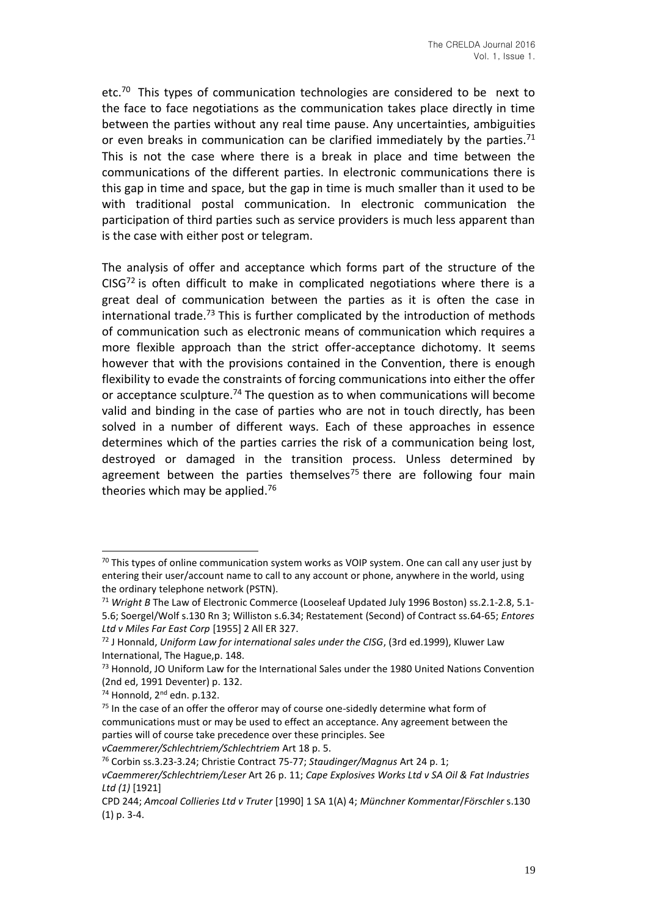etc.<sup>70</sup> This types of communication technologies are considered to be next to the face to face negotiations as the communication takes place directly in time between the parties without any real time pause. Any uncertainties, ambiguities or even breaks in communication can be clarified immediately by the parties.<sup>71</sup> This is not the case where there is a break in place and time between the communications of the different parties. In electronic communications there is this gap in time and space, but the gap in time is much smaller than it used to be with traditional postal communication. In electronic communication the participation of third parties such as service providers is much less apparent than is the case with either post or telegram.

The analysis of offer and acceptance which forms part of the structure of the  $CISG<sup>72</sup>$  is often difficult to make in complicated negotiations where there is a great deal of communication between the parties as it is often the case in international trade.<sup>73</sup> This is further complicated by the introduction of methods of communication such as electronic means of communication which requires a more flexible approach than the strict offer-acceptance dichotomy. It seems however that with the provisions contained in the Convention, there is enough flexibility to evade the constraints of forcing communications into either the offer or acceptance sculpture.<sup>74</sup> The question as to when communications will become valid and binding in the case of parties who are not in touch directly, has been solved in a number of different ways. Each of these approaches in essence determines which of the parties carries the risk of a communication being lost, destroyed or damaged in the transition process. Unless determined by agreement between the parties themselves<sup>75</sup> there are following four main theories which may be applied.<sup>76</sup>

*vCaemmerer/Schlechtriem/Schlechtriem* Art 18 p. 5.

 $70$  This types of online communication system works as VOIP system. One can call any user just by entering their user/account name to call to any account or phone, anywhere in the world, using the ordinary telephone network (PSTN).

<sup>71</sup> *Wright B* The Law of Electronic Commerce (Looseleaf Updated July 1996 Boston) ss.2.1-2.8, 5.1- 5.6; Soergel/Wolf s.130 Rn 3; Williston s.6.34; Restatement (Second) of Contract ss.64-65; *Entores Ltd v Miles Far East Corp* [1955] 2 All ER 327.

<sup>72</sup> J Honnald, *Uniform Law for international sales under the CISG*, (3rd ed.1999), Kluwer Law International, The Hague,p. 148.

<sup>&</sup>lt;sup>73</sup> Honnold, JO Uniform Law for the International Sales under the 1980 United Nations Convention (2nd ed, 1991 Deventer) p. 132.

<sup>74</sup> Honnold, 2<sup>nd</sup> edn. p.132.

 $75$  In the case of an offer the offeror may of course one-sidedly determine what form of communications must or may be used to effect an acceptance. Any agreement between the parties will of course take precedence over these principles. See

<sup>76</sup> Corbin ss.3.23-3.24; Christie Contract 75-77; *Staudinger/Magnus* Art 24 p. 1;

*vCaemmerer/Schlechtriem/Leser* Art 26 p. 11; *Cape Explosives Works Ltd v SA Oil & Fat Industries Ltd (1)* [1921]

CPD 244; *Amcoal Collieries Ltd v Truter* [1990] 1 SA 1(A) 4; *Münchner Kommentar*/*Förschler* s.130 (1) p. 3-4.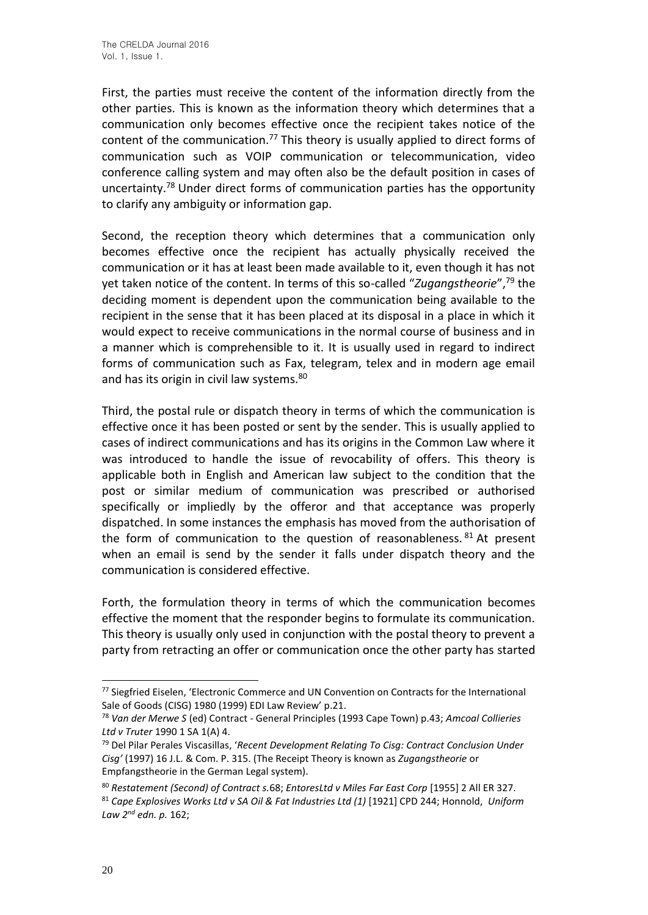First, the parties must receive the content of the information directly from the other parties. This is known as the information theory which determines that a communication only becomes effective once the recipient takes notice of the content of the communication.<sup>77</sup> This theory is usually applied to direct forms of communication such as VOIP communication or telecommunication, video conference calling system and may often also be the default position in cases of uncertainty.<sup>78</sup> Under direct forms of communication parties has the opportunity to clarify any ambiguity or information gap.

Second, the reception theory which determines that a communication only becomes effective once the recipient has actually physically received the communication or it has at least been made available to it, even though it has not yet taken notice of the content. In terms of this so-called "*Zugangstheorie*",<sup>79</sup> the deciding moment is dependent upon the communication being available to the recipient in the sense that it has been placed at its disposal in a place in which it would expect to receive communications in the normal course of business and in a manner which is comprehensible to it. It is usually used in regard to indirect forms of communication such as Fax, telegram, telex and in modern age email and has its origin in civil law systems.<sup>80</sup>

Third, the postal rule or dispatch theory in terms of which the communication is effective once it has been posted or sent by the sender. This is usually applied to cases of indirect communications and has its origins in the Common Law where it was introduced to handle the issue of revocability of offers. This theory is applicable both in English and American law subject to the condition that the post or similar medium of communication was prescribed or authorised specifically or impliedly by the offeror and that acceptance was properly dispatched. In some instances the emphasis has moved from the authorisation of the form of communication to the question of reasonableness. <sup>81</sup> At present when an email is send by the sender it falls under dispatch theory and the communication is considered effective.

Forth, the formulation theory in terms of which the communication becomes effective the moment that the responder begins to formulate its communication. This theory is usually only used in conjunction with the postal theory to prevent a party from retracting an offer or communication once the other party has started

<sup>77</sup> Siegfried Eiselen, 'Electronic Commerce and UN Convention on Contracts for the International Sale of Goods (CISG) 1980 (1999) EDI Law Review' p.21.

<sup>78</sup> *Van der Merwe S* (ed) Contract - General Principles (1993 Cape Town) p.43; *Amcoal Collieries Ltd v Truter* 1990 1 SA 1(A) 4.

<sup>79</sup> Del Pilar Perales Viscasillas, '*Recent Development Relating To Cisg: Contract Conclusion Under Cisg'* (1997) 16 J.L. & Com. P. 315. (The Receipt Theory is known as *Zugangstheorie* or Empfangstheorie in the German Legal system).

<sup>80</sup> *Restatement (Second) of Contract s.*68; *EntoresLtd v Miles Far East Corp* [1955] 2 All ER 327. <sup>81</sup> *Cape Explosives Works Ltd v SA Oil & Fat Industries Ltd (1)* [1921] CPD 244; Honnold, *Uniform Law 2nd edn. p.* 162;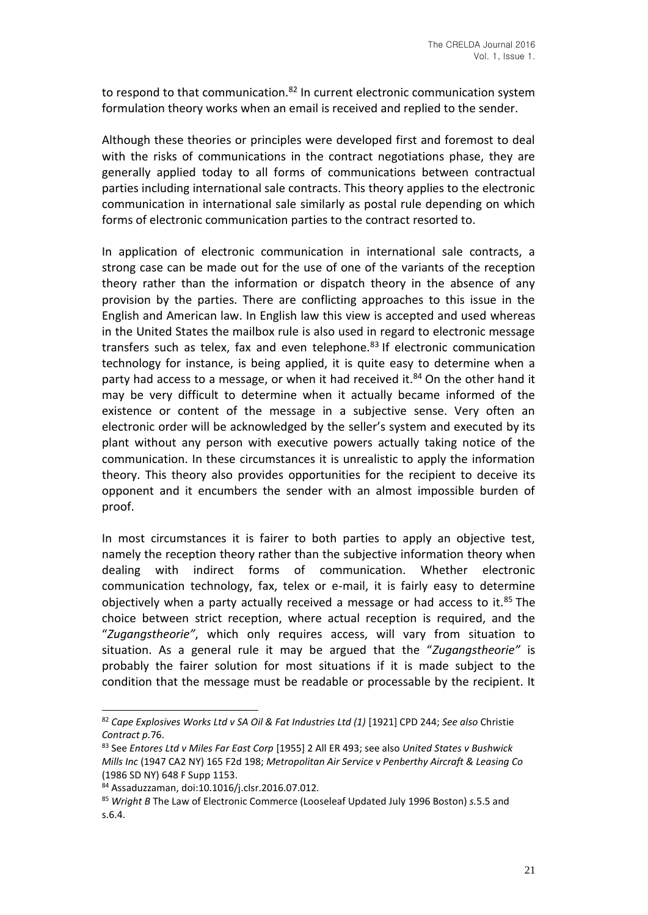to respond to that communication.<sup>82</sup> In current electronic communication system formulation theory works when an email is received and replied to the sender.

Although these theories or principles were developed first and foremost to deal with the risks of communications in the contract negotiations phase, they are generally applied today to all forms of communications between contractual parties including international sale contracts. This theory applies to the electronic communication in international sale similarly as postal rule depending on which forms of electronic communication parties to the contract resorted to.

In application of electronic communication in international sale contracts, a strong case can be made out for the use of one of the variants of the reception theory rather than the information or dispatch theory in the absence of any provision by the parties. There are conflicting approaches to this issue in the English and American law. In English law this view is accepted and used whereas in the United States the mailbox rule is also used in regard to electronic message transfers such as telex, fax and even telephone. $83$  If electronic communication technology for instance, is being applied, it is quite easy to determine when a party had access to a message, or when it had received it. $84$  On the other hand it may be very difficult to determine when it actually became informed of the existence or content of the message in a subjective sense. Very often an electronic order will be acknowledged by the seller's system and executed by its plant without any person with executive powers actually taking notice of the communication. In these circumstances it is unrealistic to apply the information theory. This theory also provides opportunities for the recipient to deceive its opponent and it encumbers the sender with an almost impossible burden of proof.

In most circumstances it is fairer to both parties to apply an objective test, namely the reception theory rather than the subjective information theory when dealing with indirect forms of communication. Whether electronic communication technology, fax, telex or e-mail, it is fairly easy to determine objectively when a party actually received a message or had access to it.<sup>85</sup> The choice between strict reception, where actual reception is required, and the "*Zugangstheorie"*, which only requires access, will vary from situation to situation. As a general rule it may be argued that the "*Zugangstheorie"* is probably the fairer solution for most situations if it is made subject to the condition that the message must be readable or processable by the recipient. It

<sup>82</sup> *Cape Explosives Works Ltd v SA Oil & Fat Industries Ltd (1)* [1921] CPD 244; *See also* Christie *Contract p.*76.

<sup>83</sup> See *Entores Ltd v Miles Far East Corp* [1955] 2 All ER 493; see also *United States v Bushwick Mills Inc* (1947 CA2 NY) 165 F2d 198; *Metropolitan Air Service v Penberthy Aircraft & Leasing Co*  (1986 SD NY) 648 F Supp 1153.

<sup>84</sup> Assaduzzaman, doi:10.1016/j.clsr.2016.07.012.

<sup>85</sup> *Wright B* The Law of Electronic Commerce (Looseleaf Updated July 1996 Boston) *s.*5.5 and s.6.4.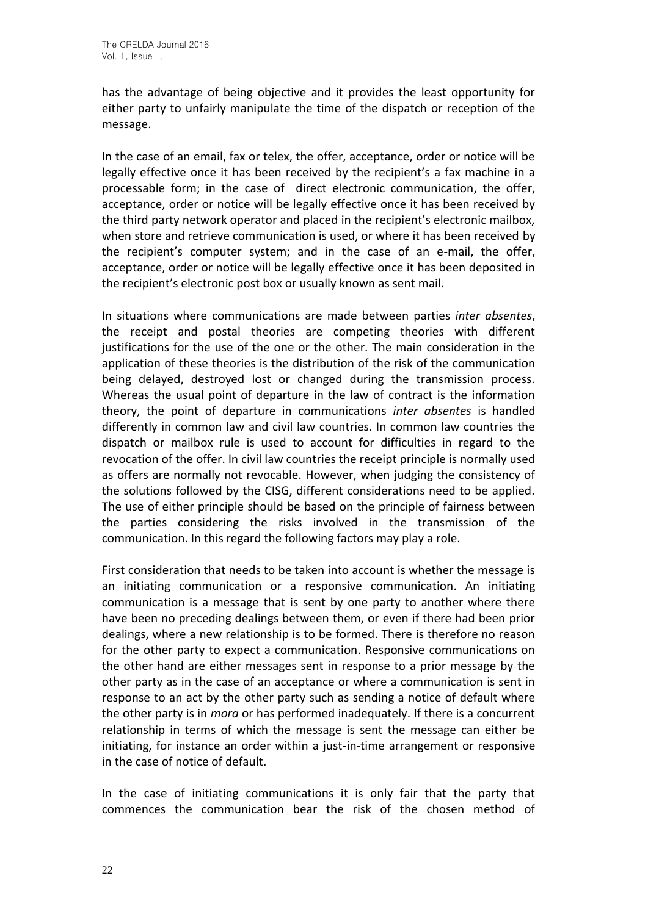has the advantage of being objective and it provides the least opportunity for either party to unfairly manipulate the time of the dispatch or reception of the message.

In the case of an email, fax or telex, the offer, acceptance, order or notice will be legally effective once it has been received by the recipient's a fax machine in a processable form; in the case of direct electronic communication, the offer, acceptance, order or notice will be legally effective once it has been received by the third party network operator and placed in the recipient's electronic mailbox, when store and retrieve communication is used, or where it has been received by the recipient's computer system; and in the case of an e-mail, the offer, acceptance, order or notice will be legally effective once it has been deposited in the recipient's electronic post box or usually known as sent mail.

In situations where communications are made between parties *inter absentes*, the receipt and postal theories are competing theories with different justifications for the use of the one or the other. The main consideration in the application of these theories is the distribution of the risk of the communication being delayed, destroyed lost or changed during the transmission process. Whereas the usual point of departure in the law of contract is the information theory, the point of departure in communications *inter absentes* is handled differently in common law and civil law countries. In common law countries the dispatch or mailbox rule is used to account for difficulties in regard to the revocation of the offer. In civil law countries the receipt principle is normally used as offers are normally not revocable. However, when judging the consistency of the solutions followed by the CISG, different considerations need to be applied. The use of either principle should be based on the principle of fairness between the parties considering the risks involved in the transmission of the communication. In this regard the following factors may play a role.

First consideration that needs to be taken into account is whether the message is an initiating communication or a responsive communication. An initiating communication is a message that is sent by one party to another where there have been no preceding dealings between them, or even if there had been prior dealings, where a new relationship is to be formed. There is therefore no reason for the other party to expect a communication. Responsive communications on the other hand are either messages sent in response to a prior message by the other party as in the case of an acceptance or where a communication is sent in response to an act by the other party such as sending a notice of default where the other party is in *mora* or has performed inadequately. If there is a concurrent relationship in terms of which the message is sent the message can either be initiating, for instance an order within a just-in-time arrangement or responsive in the case of notice of default.

In the case of initiating communications it is only fair that the party that commences the communication bear the risk of the chosen method of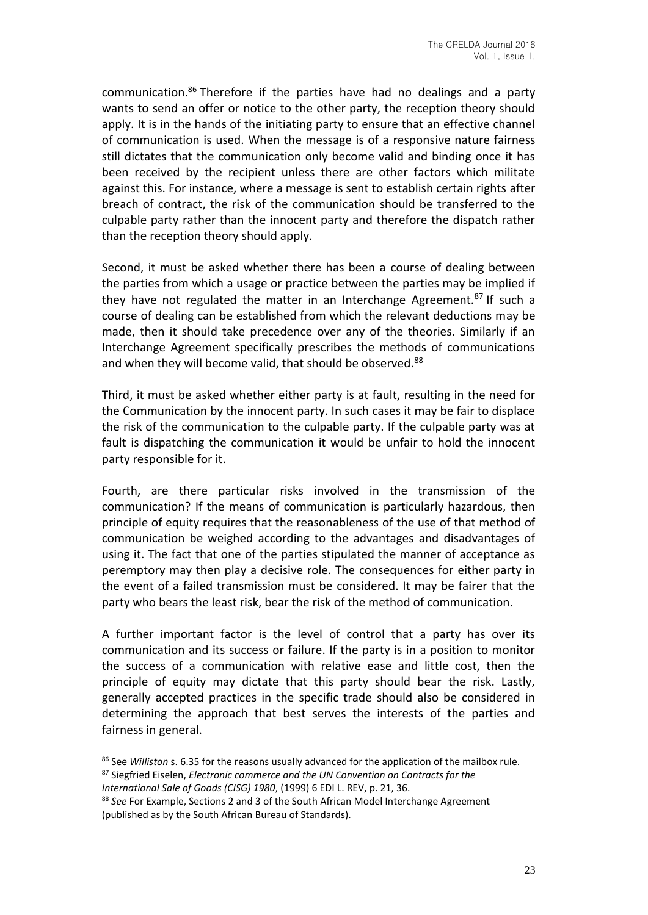communication.<sup>86</sup> Therefore if the parties have had no dealings and a party wants to send an offer or notice to the other party, the reception theory should apply. It is in the hands of the initiating party to ensure that an effective channel of communication is used. When the message is of a responsive nature fairness still dictates that the communication only become valid and binding once it has been received by the recipient unless there are other factors which militate against this. For instance, where a message is sent to establish certain rights after breach of contract, the risk of the communication should be transferred to the culpable party rather than the innocent party and therefore the dispatch rather than the reception theory should apply.

Second, it must be asked whether there has been a course of dealing between the parties from which a usage or practice between the parties may be implied if they have not regulated the matter in an Interchange Agreement.<sup>87</sup> If such a course of dealing can be established from which the relevant deductions may be made, then it should take precedence over any of the theories. Similarly if an Interchange Agreement specifically prescribes the methods of communications and when they will become valid, that should be observed.<sup>88</sup>

Third, it must be asked whether either party is at fault, resulting in the need for the Communication by the innocent party. In such cases it may be fair to displace the risk of the communication to the culpable party. If the culpable party was at fault is dispatching the communication it would be unfair to hold the innocent party responsible for it.

Fourth, are there particular risks involved in the transmission of the communication? If the means of communication is particularly hazardous, then principle of equity requires that the reasonableness of the use of that method of communication be weighed according to the advantages and disadvantages of using it. The fact that one of the parties stipulated the manner of acceptance as peremptory may then play a decisive role. The consequences for either party in the event of a failed transmission must be considered. It may be fairer that the party who bears the least risk, bear the risk of the method of communication.

A further important factor is the level of control that a party has over its communication and its success or failure. If the party is in a position to monitor the success of a communication with relative ease and little cost, then the principle of equity may dictate that this party should bear the risk. Lastly, generally accepted practices in the specific trade should also be considered in determining the approach that best serves the interests of the parties and fairness in general.

<sup>86</sup> See *Williston* s. 6.35 for the reasons usually advanced for the application of the mailbox rule. <sup>87</sup> Siegfried Eiselen, *Electronic commerce and the UN Convention on Contracts for the International Sale of Goods (CISG) 1980*, (1999) 6 EDI L. REV, p. 21, 36.

<sup>88</sup> See For Example, Sections 2 and 3 of the South African Model Interchange Agreement (published as by the South African Bureau of Standards).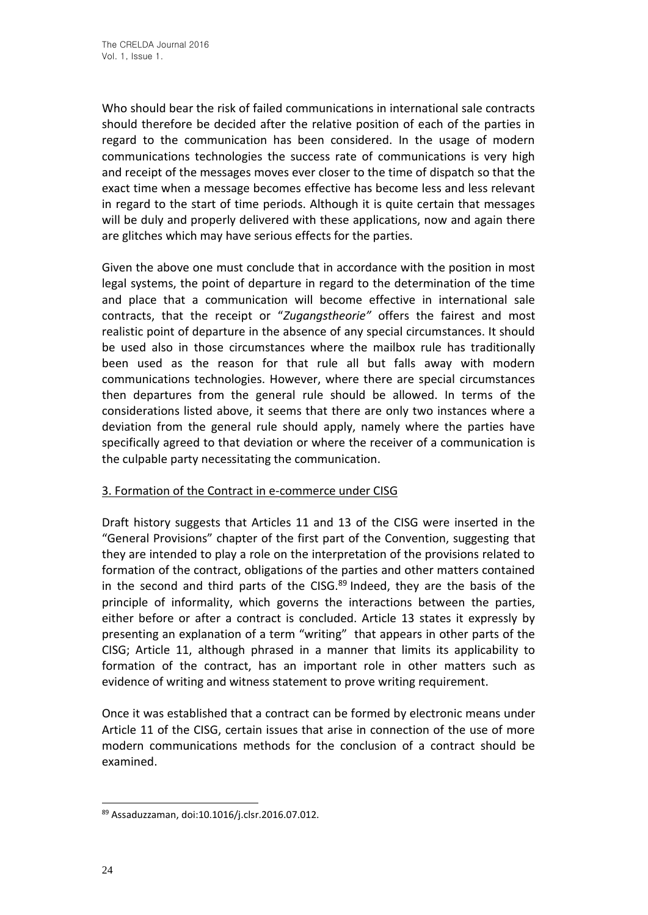Who should bear the risk of failed communications in international sale contracts should therefore be decided after the relative position of each of the parties in regard to the communication has been considered. In the usage of modern communications technologies the success rate of communications is very high and receipt of the messages moves ever closer to the time of dispatch so that the exact time when a message becomes effective has become less and less relevant in regard to the start of time periods. Although it is quite certain that messages will be duly and properly delivered with these applications, now and again there are glitches which may have serious effects for the parties.

Given the above one must conclude that in accordance with the position in most legal systems, the point of departure in regard to the determination of the time and place that a communication will become effective in international sale contracts, that the receipt or "*Zugangstheorie"* offers the fairest and most realistic point of departure in the absence of any special circumstances. It should be used also in those circumstances where the mailbox rule has traditionally been used as the reason for that rule all but falls away with modern communications technologies. However, where there are special circumstances then departures from the general rule should be allowed. In terms of the considerations listed above, it seems that there are only two instances where a deviation from the general rule should apply, namely where the parties have specifically agreed to that deviation or where the receiver of a communication is the culpable party necessitating the communication.

# 3. Formation of the Contract in e-commerce under CISG

Draft history suggests that Articles 11 and 13 of the CISG were inserted in the "General Provisions" chapter of the first part of the Convention, suggesting that they are intended to play a role on the interpretation of the provisions related to formation of the contract, obligations of the parties and other matters contained in the second and third parts of the CISG. $89$  Indeed, they are the basis of the principle of informality, which governs the interactions between the parties, either before or after a contract is concluded. Article 13 states it expressly by presenting an explanation of a term "writing" that appears in other parts of the CISG; Article 11, although phrased in a manner that limits its applicability to formation of the contract, has an important role in other matters such as evidence of writing and witness statement to prove writing requirement.

Once it was established that a contract can be formed by electronic means under Article 11 of the CISG, certain issues that arise in connection of the use of more modern communications methods for the conclusion of a contract should be examined.

<sup>89</sup> Assaduzzaman, doi:10.1016/j.clsr.2016.07.012.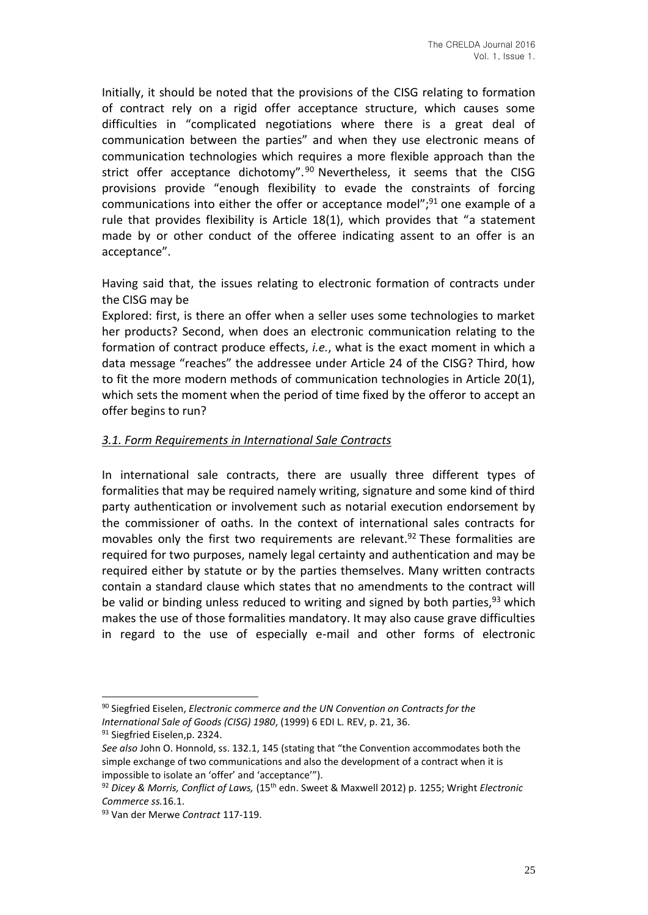Initially, it should be noted that the provisions of the CISG relating to formation of contract rely on a rigid offer acceptance structure, which causes some difficulties in "complicated negotiations where there is a great deal of communication between the parties" and when they use electronic means of communication technologies which requires a more flexible approach than the strict offer acceptance dichotomy".<sup>90</sup> Nevertheless, it seems that the CISG provisions provide "enough flexibility to evade the constraints of forcing communications into either the offer or acceptance model";<sup>91</sup> one example of a rule that provides flexibility is Article 18(1), which provides that "a statement made by or other conduct of the offeree indicating assent to an offer is an acceptance".

Having said that, the issues relating to electronic formation of contracts under the CISG may be

Explored: first, is there an offer when a seller uses some technologies to market her products? Second, when does an electronic communication relating to the formation of contract produce effects, *i.e.*, what is the exact moment in which a data message "reaches" the addressee under Article 24 of the CISG? Third, how to fit the more modern methods of communication technologies in Article 20(1), which sets the moment when the period of time fixed by the offeror to accept an offer begins to run?

#### *3.1. Form Requirements in International Sale Contracts*

In international sale contracts, there are usually three different types of formalities that may be required namely writing, signature and some kind of third party authentication or involvement such as notarial execution endorsement by the commissioner of oaths. In the context of international sales contracts for movables only the first two requirements are relevant.<sup>92</sup> These formalities are required for two purposes, namely legal certainty and authentication and may be required either by statute or by the parties themselves. Many written contracts contain a standard clause which states that no amendments to the contract will be valid or binding unless reduced to writing and signed by both parties,  $93$  which makes the use of those formalities mandatory. It may also cause grave difficulties in regard to the use of especially e-mail and other forms of electronic

<sup>90</sup> Siegfried Eiselen, *Electronic commerce and the UN Convention on Contracts for the International Sale of Goods (CISG) 1980*, (1999) 6 EDI L. REV, p. 21, 36.

<sup>&</sup>lt;sup>91</sup> Siegfried Eiselen, p. 2324.

*See also* John O. Honnold, ss. 132.1, 145 (stating that "the Convention accommodates both the simple exchange of two communications and also the development of a contract when it is impossible to isolate an 'offer' and 'acceptance'").

<sup>92</sup> *Dicey & Morris, Conflict of Laws,* (15th edn. Sweet & Maxwell 2012) p. 1255; Wright *Electronic Commerce ss.*16.1.

<sup>93</sup> Van der Merwe *Contract* 117-119.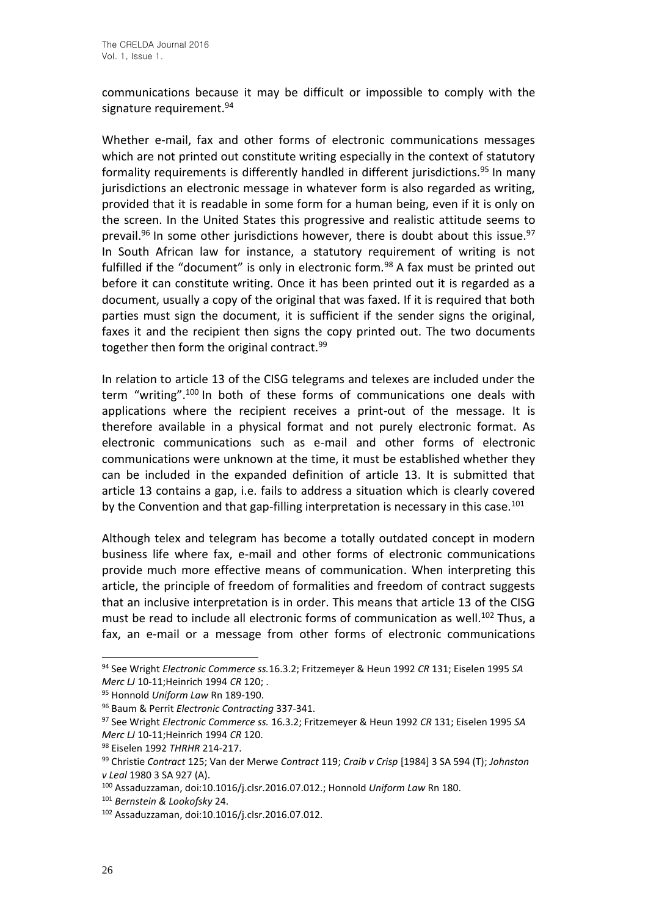communications because it may be difficult or impossible to comply with the signature requirement.<sup>94</sup>

Whether e-mail, fax and other forms of electronic communications messages which are not printed out constitute writing especially in the context of statutory formality requirements is differently handled in different jurisdictions.<sup>95</sup> In many jurisdictions an electronic message in whatever form is also regarded as writing, provided that it is readable in some form for a human being, even if it is only on the screen. In the United States this progressive and realistic attitude seems to prevail.<sup>96</sup> In some other jurisdictions however, there is doubt about this issue.<sup>97</sup> In South African law for instance, a statutory requirement of writing is not fulfilled if the "document" is only in electronic form.<sup>98</sup> A fax must be printed out before it can constitute writing. Once it has been printed out it is regarded as a document, usually a copy of the original that was faxed. If it is required that both parties must sign the document, it is sufficient if the sender signs the original, faxes it and the recipient then signs the copy printed out. The two documents together then form the original contract.<sup>99</sup>

In relation to article 13 of the CISG telegrams and telexes are included under the term "writing".<sup>100</sup> In both of these forms of communications one deals with applications where the recipient receives a print-out of the message. It is therefore available in a physical format and not purely electronic format. As electronic communications such as e-mail and other forms of electronic communications were unknown at the time, it must be established whether they can be included in the expanded definition of article 13. It is submitted that article 13 contains a gap, i.e. fails to address a situation which is clearly covered by the Convention and that gap-filling interpretation is necessary in this case.<sup>101</sup>

Although telex and telegram has become a totally outdated concept in modern business life where fax, e-mail and other forms of electronic communications provide much more effective means of communication. When interpreting this article, the principle of freedom of formalities and freedom of contract suggests that an inclusive interpretation is in order. This means that article 13 of the CISG must be read to include all electronic forms of communication as well.<sup>102</sup> Thus, a fax, an e-mail or a message from other forms of electronic communications

<sup>94</sup> See Wright *Electronic Commerce ss.*16.3.2; Fritzemeyer & Heun 1992 *CR* 131; Eiselen 1995 *SA Merc LJ* 10-11;Heinrich 1994 *CR* 120; .

<sup>95</sup> Honnold *Uniform Law* Rn 189-190.

<sup>96</sup> Baum & Perrit *Electronic Contracting* 337-341.

<sup>97</sup> See Wright *Electronic Commerce ss.* 16.3.2; Fritzemeyer & Heun 1992 *CR* 131; Eiselen 1995 *SA Merc LJ* 10-11;Heinrich 1994 *CR* 120.

<sup>98</sup> Eiselen 1992 *THRHR* 214-217.

<sup>99</sup> Christie *Contract* 125; Van der Merwe *Contract* 119; *Craib v Crisp* [1984] 3 SA 594 (T); *Johnston v Leal* 1980 3 SA 927 (A).

<sup>100</sup> Assaduzzaman, doi:10.1016/j.clsr.2016.07.012.; Honnold *Uniform Law* Rn 180.

<sup>101</sup> *Bernstein & Lookofsky* 24.

<sup>102</sup> Assaduzzaman, doi:10.1016/j.clsr.2016.07.012.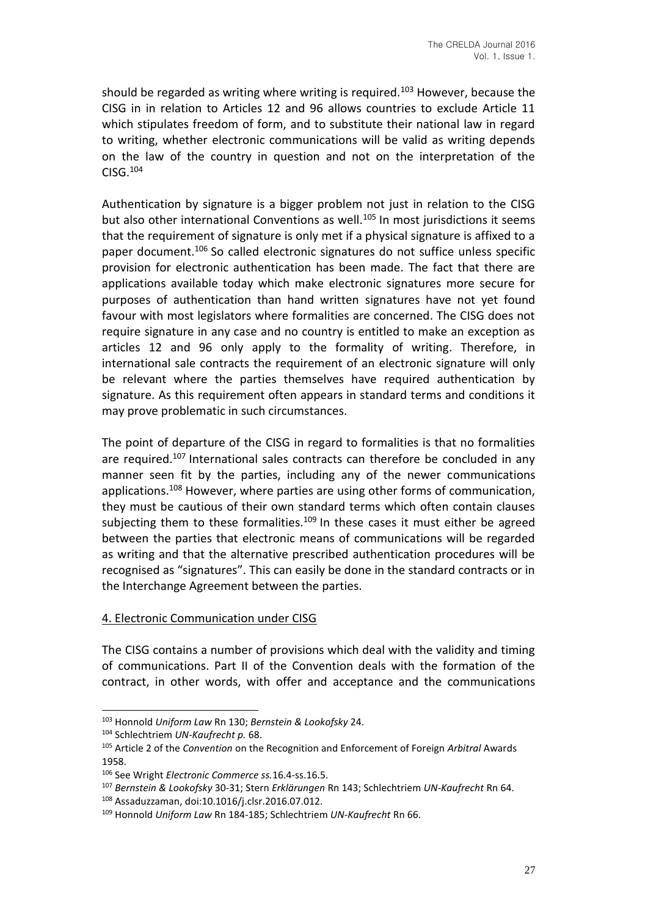should be regarded as writing where writing is required.<sup>103</sup> However, because the CISG in in relation to Articles 12 and 96 allows countries to exclude Article 11 which stipulates freedom of form, and to substitute their national law in regard to writing, whether electronic communications will be valid as writing depends on the law of the country in question and not on the interpretation of the  $CISG.$ <sup>104</sup>

Authentication by signature is a bigger problem not just in relation to the CISG but also other international Conventions as well.<sup>105</sup> In most jurisdictions it seems that the requirement of signature is only met if a physical signature is affixed to a paper document.<sup>106</sup> So called electronic signatures do not suffice unless specific provision for electronic authentication has been made. The fact that there are applications available today which make electronic signatures more secure for purposes of authentication than hand written signatures have not yet found favour with most legislators where formalities are concerned. The CISG does not require signature in any case and no country is entitled to make an exception as articles 12 and 96 only apply to the formality of writing. Therefore, in international sale contracts the requirement of an electronic signature will only be relevant where the parties themselves have required authentication by signature. As this requirement often appears in standard terms and conditions it may prove problematic in such circumstances.

The point of departure of the CISG in regard to formalities is that no formalities are required.<sup>107</sup> International sales contracts can therefore be concluded in any manner seen fit by the parties, including any of the newer communications applications.<sup>108</sup> However, where parties are using other forms of communication, they must be cautious of their own standard terms which often contain clauses subjecting them to these formalities.<sup>109</sup> In these cases it must either be agreed between the parties that electronic means of communications will be regarded as writing and that the alternative prescribed authentication procedures will be recognised as "signatures". This can easily be done in the standard contracts or in the Interchange Agreement between the parties.

#### 4. Electronic Communication under CISG

The CISG contains a number of provisions which deal with the validity and timing of communications. Part II of the Convention deals with the formation of the contract, in other words, with offer and acceptance and the communications

<sup>103</sup> Honnold *Uniform Law* Rn 130; *Bernstein & Lookofsky* 24.

<sup>104</sup> Schlechtriem *UN-Kaufrecht p.* 68.

<sup>105</sup> Article 2 of the *Convention* on the Recognition and Enforcement of Foreign *Arbitral* Awards 1958.

<sup>106</sup> See Wright *Electronic Commerce ss.*16.4-ss.16.5.

<sup>107</sup> *Bernstein & Lookofsky* 30-31; Stern *Erklärungen* Rn 143; Schlechtriem *UN-Kaufrecht* Rn 64.

<sup>108</sup> Assaduzzaman, doi:10.1016/j.clsr.2016.07.012.

<sup>109</sup> Honnold *Uniform Law* Rn 184-185; Schlechtriem *UN-Kaufrecht* Rn 66.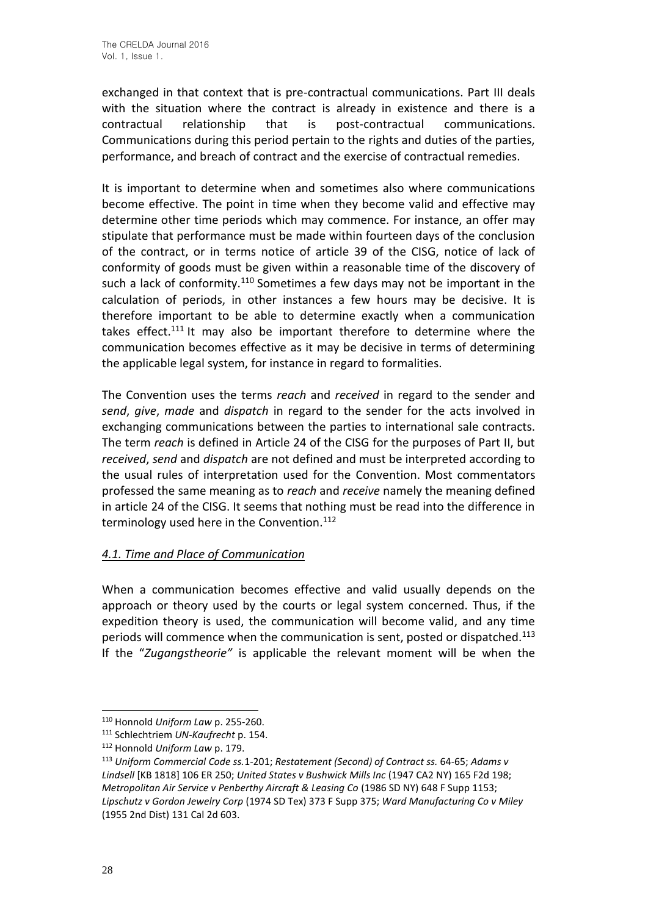exchanged in that context that is pre-contractual communications. Part III deals with the situation where the contract is already in existence and there is a contractual relationship that is post-contractual communications. Communications during this period pertain to the rights and duties of the parties, performance, and breach of contract and the exercise of contractual remedies.

It is important to determine when and sometimes also where communications become effective. The point in time when they become valid and effective may determine other time periods which may commence. For instance, an offer may stipulate that performance must be made within fourteen days of the conclusion of the contract, or in terms notice of article 39 of the CISG, notice of lack of conformity of goods must be given within a reasonable time of the discovery of such a lack of conformity.<sup>110</sup> Sometimes a few days may not be important in the calculation of periods, in other instances a few hours may be decisive. It is therefore important to be able to determine exactly when a communication takes effect.<sup>111</sup> It may also be important therefore to determine where the communication becomes effective as it may be decisive in terms of determining the applicable legal system, for instance in regard to formalities.

The Convention uses the terms *reach* and *received* in regard to the sender and *send*, *give*, *made* and *dispatch* in regard to the sender for the acts involved in exchanging communications between the parties to international sale contracts. The term *reach* is defined in Article 24 of the CISG for the purposes of Part II, but *received*, *send* and *dispatch* are not defined and must be interpreted according to the usual rules of interpretation used for the Convention. Most commentators professed the same meaning as to *reach* and *receive* namely the meaning defined in article 24 of the CISG. It seems that nothing must be read into the difference in terminology used here in the Convention.<sup>112</sup>

# *4.1. Time and Place of Communication*

When a communication becomes effective and valid usually depends on the approach or theory used by the courts or legal system concerned. Thus, if the expedition theory is used, the communication will become valid, and any time periods will commence when the communication is sent, posted or dispatched.<sup>113</sup> If the "*Zugangstheorie"* is applicable the relevant moment will be when the

<sup>110</sup> Honnold *Uniform Law* p. 255-260.

<sup>111</sup> Schlechtriem *UN-Kaufrecht* p. 154.

<sup>112</sup> Honnold *Uniform Law* p. 179.

<sup>113</sup> *Uniform Commercial Code ss.*1-201; *Restatement (Second) of Contract ss.* 64-65; *Adams v Lindsell* [KB 1818] 106 ER 250; *United States v Bushwick Mills Inc* (1947 CA2 NY) 165 F2d 198; *Metropolitan Air Service v Penberthy Aircraft & Leasing Co (1986 SD NY) 648 F Supp 1153; Lipschutz v Gordon Jewelry Corp* (1974 SD Tex) 373 F Supp 375; *Ward Manufacturing Co v Miley*  (1955 2nd Dist) 131 Cal 2d 603.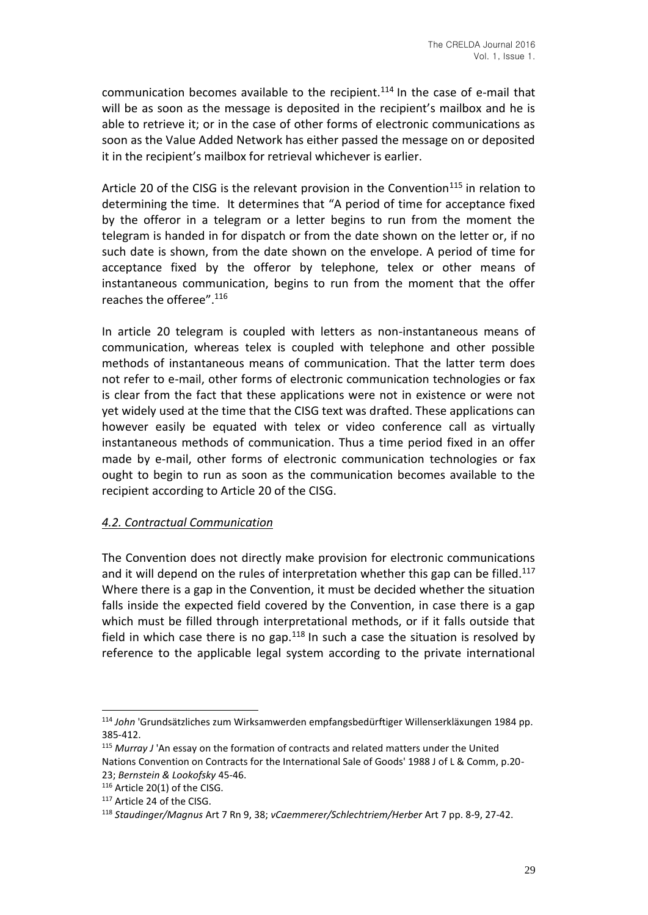communication becomes available to the recipient.<sup>114</sup> In the case of e-mail that will be as soon as the message is deposited in the recipient's mailbox and he is able to retrieve it; or in the case of other forms of electronic communications as soon as the Value Added Network has either passed the message on or deposited it in the recipient's mailbox for retrieval whichever is earlier.

Article 20 of the CISG is the relevant provision in the Convention<sup>115</sup> in relation to determining the time. It determines that "A period of time for acceptance fixed by the offeror in a telegram or a letter begins to run from the moment the telegram is handed in for dispatch or from the date shown on the letter or, if no such date is shown, from the date shown on the envelope. A period of time for acceptance fixed by the offeror by telephone, telex or other means of instantaneous communication, begins to run from the moment that the offer reaches the offeree".<sup>116</sup>

In article 20 telegram is coupled with letters as non-instantaneous means of communication, whereas telex is coupled with telephone and other possible methods of instantaneous means of communication. That the latter term does not refer to e-mail, other forms of electronic communication technologies or fax is clear from the fact that these applications were not in existence or were not yet widely used at the time that the CISG text was drafted. These applications can however easily be equated with telex or video conference call as virtually instantaneous methods of communication. Thus a time period fixed in an offer made by e-mail, other forms of electronic communication technologies or fax ought to begin to run as soon as the communication becomes available to the recipient according to Article 20 of the CISG.

### *4.2. Contractual Communication*

The Convention does not directly make provision for electronic communications and it will depend on the rules of interpretation whether this gap can be filled.<sup>117</sup> Where there is a gap in the Convention, it must be decided whether the situation falls inside the expected field covered by the Convention, in case there is a gap which must be filled through interpretational methods, or if it falls outside that field in which case there is no gap.<sup>118</sup> In such a case the situation is resolved by reference to the applicable legal system according to the private international

<sup>114</sup> *John* 'Grundsätzliches zum Wirksamwerden empfangsbedürftiger Willenserkläxungen 1984 pp. 385-412.

<sup>115</sup> *Murray J* 'An essay on the formation of contracts and related matters under the United Nations Convention on Contracts for the International Sale of Goods' 1988 J of L & Comm, p.20-

<sup>23;</sup> *Bernstein & Lookofsky* 45-46.

<sup>116</sup> Article 20(1) of the CISG.

<sup>117</sup> Article 24 of the CISG.

<sup>118</sup> *Staudinger/Magnus* Art 7 Rn 9, 38; *vCaemmerer/Schlechtriem/Herber* Art 7 pp. 8-9, 27-42.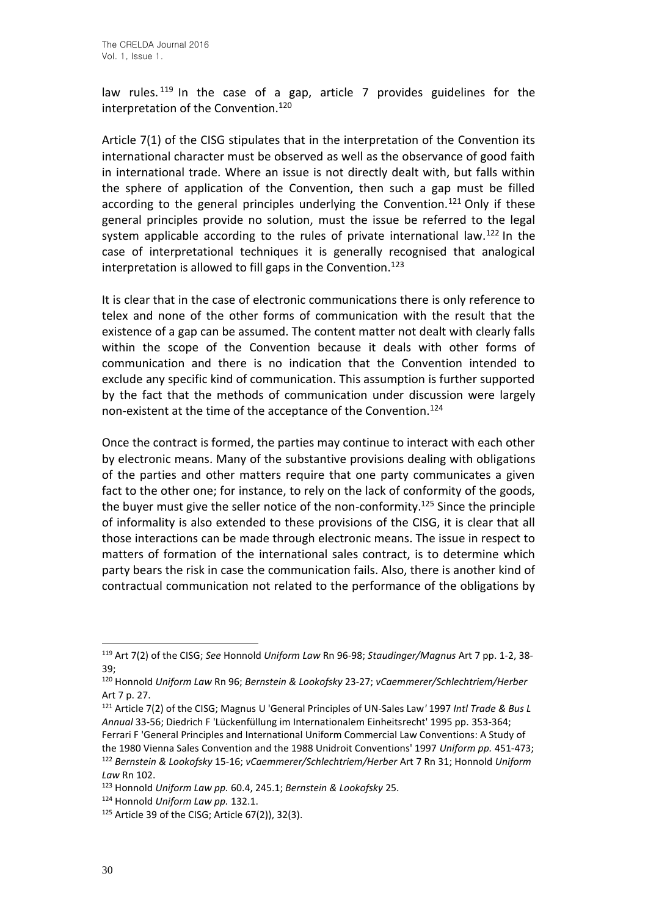law rules.<sup>119</sup> In the case of a gap, article 7 provides guidelines for the interpretation of the Convention.<sup>120</sup>

Article 7(1) of the CISG stipulates that in the interpretation of the Convention its international character must be observed as well as the observance of good faith in international trade. Where an issue is not directly dealt with, but falls within the sphere of application of the Convention, then such a gap must be filled according to the general principles underlying the Convention.<sup>121</sup> Only if these general principles provide no solution, must the issue be referred to the legal system applicable according to the rules of private international law.<sup>122</sup> In the case of interpretational techniques it is generally recognised that analogical interpretation is allowed to fill gaps in the Convention.<sup>123</sup>

It is clear that in the case of electronic communications there is only reference to telex and none of the other forms of communication with the result that the existence of a gap can be assumed. The content matter not dealt with clearly falls within the scope of the Convention because it deals with other forms of communication and there is no indication that the Convention intended to exclude any specific kind of communication. This assumption is further supported by the fact that the methods of communication under discussion were largely non-existent at the time of the acceptance of the Convention.<sup>124</sup>

Once the contract is formed, the parties may continue to interact with each other by electronic means. Many of the substantive provisions dealing with obligations of the parties and other matters require that one party communicates a given fact to the other one; for instance, to rely on the lack of conformity of the goods, the buyer must give the seller notice of the non-conformity.<sup>125</sup> Since the principle of informality is also extended to these provisions of the CISG, it is clear that all those interactions can be made through electronic means. The issue in respect to matters of formation of the international sales contract, is to determine which party bears the risk in case the communication fails. Also, there is another kind of contractual communication not related to the performance of the obligations by

<sup>119</sup> Art 7(2) of the CISG; *See* Honnold *Uniform Law* Rn 96-98; *Staudinger/Magnus* Art 7 pp. 1-2, 38- 39;

<sup>120</sup> Honnold *Uniform Law* Rn 96; *Bernstein & Lookofsky* 23-27; *vCaemmerer/Schlechtriem/Herber*  Art 7 p. 27.

<sup>121</sup> Article 7(2) of the CISG; Magnus U 'General Principles of UN-Sales Law*'* 1997 *Intl Trade & Bus L Annual* 33-56; Diedrich F 'Lückenfüllung im Internationalem Einheitsrecht' 1995 pp. 353-364; Ferrari F 'General Principles and International Uniform Commercial Law Conventions: A Study of the 1980 Vienna Sales Convention and the 1988 Unidroit Conventions' 1997 *Uniform pp.* 451-473; <sup>122</sup> *Bernstein & Lookofsky* 15-16; *vCaemmerer/Schlechtriem/Herber* Art 7 Rn 31; Honnold *Uniform* 

*Law* Rn 102.

<sup>123</sup> Honnold *Uniform Law pp.* 60.4, 245.1; *Bernstein & Lookofsky* 25.

<sup>124</sup> Honnold *Uniform Law pp.* 132.1.

 $125$  Article 39 of the CISG; Article 67(2)), 32(3).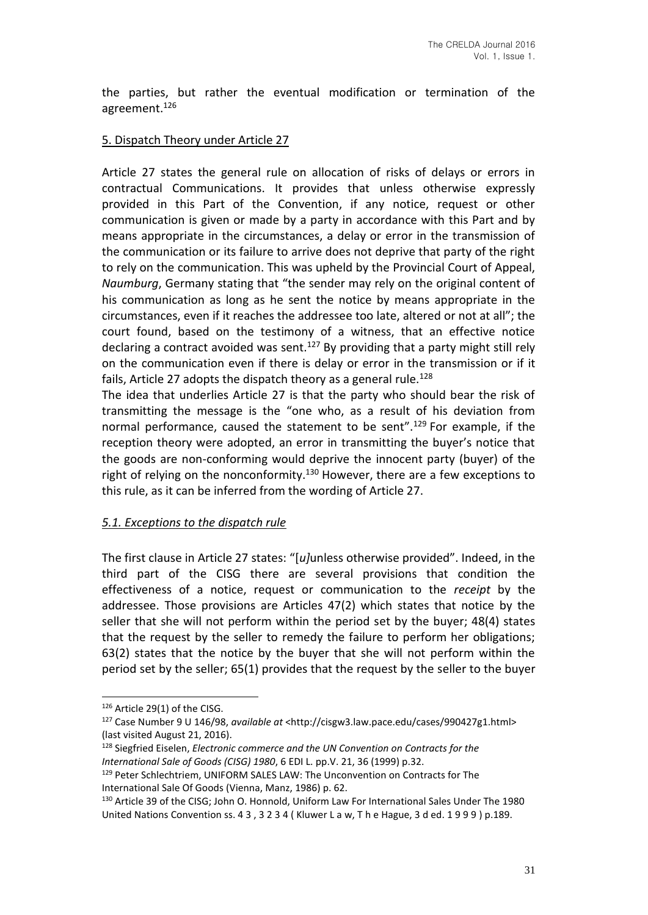the parties, but rather the eventual modification or termination of the agreement.<sup>126</sup>

### 5. Dispatch Theory under Article 27

Article 27 states the general rule on allocation of risks of delays or errors in contractual Communications. It provides that unless otherwise expressly provided in this Part of the Convention, if any notice, request or other communication is given or made by a party in accordance with this Part and by means appropriate in the circumstances, a delay or error in the transmission of the communication or its failure to arrive does not deprive that party of the right to rely on the communication. This was upheld by the Provincial Court of Appeal, *Naumburg*, Germany stating that "the sender may rely on the original content of his communication as long as he sent the notice by means appropriate in the circumstances, even if it reaches the addressee too late, altered or not at all"; the court found, based on the testimony of a witness, that an effective notice declaring a contract avoided was sent.<sup>127</sup> By providing that a party might still rely on the communication even if there is delay or error in the transmission or if it fails, Article 27 adopts the dispatch theory as a general rule.<sup>128</sup>

The idea that underlies Article 27 is that the party who should bear the risk of transmitting the message is the "one who, as a result of his deviation from normal performance, caused the statement to be sent".<sup>129</sup> For example, if the reception theory were adopted, an error in transmitting the buyer's notice that the goods are non-conforming would deprive the innocent party (buyer) of the right of relying on the nonconformity.<sup>130</sup> However, there are a few exceptions to this rule, as it can be inferred from the wording of Article 27.

### *5.1. Exceptions to the dispatch rule*

The first clause in Article 27 states: "[*u]*unless otherwise provided". Indeed, in the third part of the CISG there are several provisions that condition the effectiveness of a notice, request or communication to the *receipt* by the addressee. Those provisions are Articles 47(2) which states that notice by the seller that she will not perform within the period set by the buyer; 48(4) states that the request by the seller to remedy the failure to perform her obligations; 63(2) states that the notice by the buyer that she will not perform within the period set by the seller; 65(1) provides that the request by the seller to the buyer

<sup>126</sup> Article 29(1) of the CISG.

<sup>127</sup> Case Number 9 U 146/98, *available at* <http://cisgw3.law.pace.edu/cases/990427g1.html> (last visited August 21, 2016).

<sup>128</sup> Siegfried Eiselen, *Electronic commerce and the UN Convention on Contracts for the International Sale of Goods (CISG) 1980*, 6 EDI L. pp.V. 21, 36 (1999) p.32.

<sup>&</sup>lt;sup>129</sup> Peter Schlechtriem, UNIFORM SALES LAW: The Unconvention on Contracts for The International Sale Of Goods (Vienna, Manz, 1986) p. 62.

<sup>130</sup> Article 39 of the CISG; John O. Honnold, Uniform Law For International Sales Under The 1980 United Nations Convention ss. 4 3 , 3 2 3 4 ( Kluwer L a w, T h e Hague, 3 d ed. 1 9 9 9 ) p.189.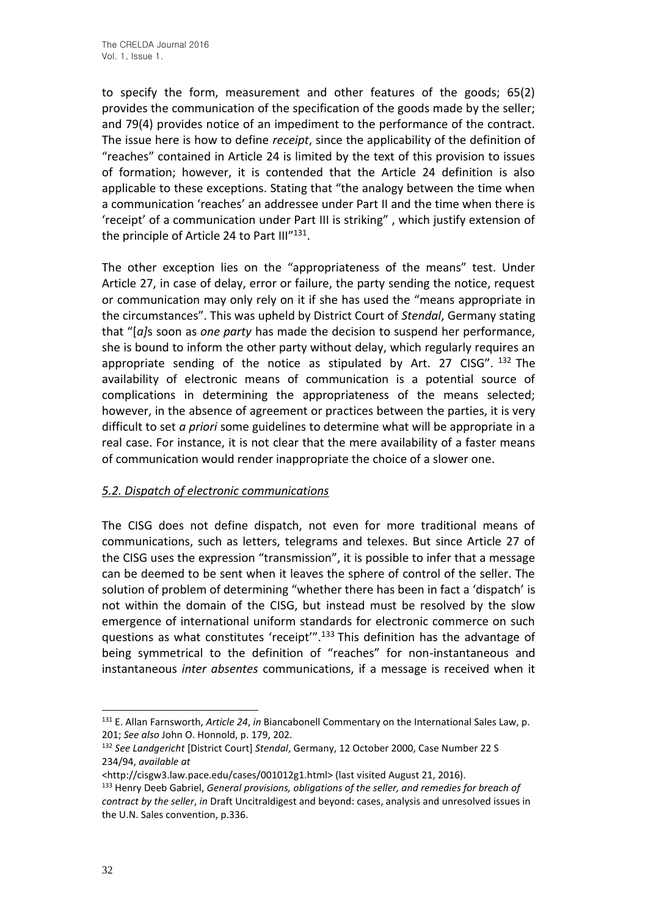to specify the form, measurement and other features of the goods; 65(2) provides the communication of the specification of the goods made by the seller; and 79(4) provides notice of an impediment to the performance of the contract. The issue here is how to define *receipt*, since the applicability of the definition of "reaches" contained in Article 24 is limited by the text of this provision to issues of formation; however, it is contended that the Article 24 definition is also applicable to these exceptions. Stating that "the analogy between the time when a communication 'reaches' an addressee under Part II and the time when there is 'receipt' of a communication under Part III is striking" , which justify extension of the principle of Article 24 to Part III"<sup>131</sup>.

The other exception lies on the "appropriateness of the means" test. Under Article 27, in case of delay, error or failure, the party sending the notice, request or communication may only rely on it if she has used the "means appropriate in the circumstances". This was upheld by District Court of *Stendal*, Germany stating that "[*a]*s soon as *one party* has made the decision to suspend her performance, she is bound to inform the other party without delay, which regularly requires an appropriate sending of the notice as stipulated by Art. 27 CISG".  $^{132}$  The availability of electronic means of communication is a potential source of complications in determining the appropriateness of the means selected; however, in the absence of agreement or practices between the parties, it is very difficult to set *a priori* some guidelines to determine what will be appropriate in a real case. For instance, it is not clear that the mere availability of a faster means of communication would render inappropriate the choice of a slower one.

### *5.2. Dispatch of electronic communications*

The CISG does not define dispatch, not even for more traditional means of communications, such as letters, telegrams and telexes. But since Article 27 of the CISG uses the expression "transmission", it is possible to infer that a message can be deemed to be sent when it leaves the sphere of control of the seller. The solution of problem of determining "whether there has been in fact a 'dispatch' is not within the domain of the CISG, but instead must be resolved by the slow emergence of international uniform standards for electronic commerce on such questions as what constitutes 'receipt'".<sup>133</sup> This definition has the advantage of being symmetrical to the definition of "reaches" for non-instantaneous and instantaneous *inter absentes* communications, if a message is received when it

<sup>131</sup> E. Allan Farnsworth, *Article 24*, *in* Biancabonell Commentary on the International Sales Law, p. 201; *See also* John O. Honnold, p. 179, 202.

<sup>132</sup> *See Landgericht* [District Court] *Stendal*, Germany, 12 October 2000, Case Number 22 S 234/94, *available at*

<sup>&</sup>lt;http://cisgw3.law.pace.edu/cases/001012g1.html> (last visited August 21, 2016).

<sup>133</sup> Henry Deeb Gabriel, *General provisions, obligations of the seller, and remedies for breach of contract by the seller*, *in* Draft Uncitraldigest and beyond: cases, analysis and unresolved issues in the U.N. Sales convention, p.336.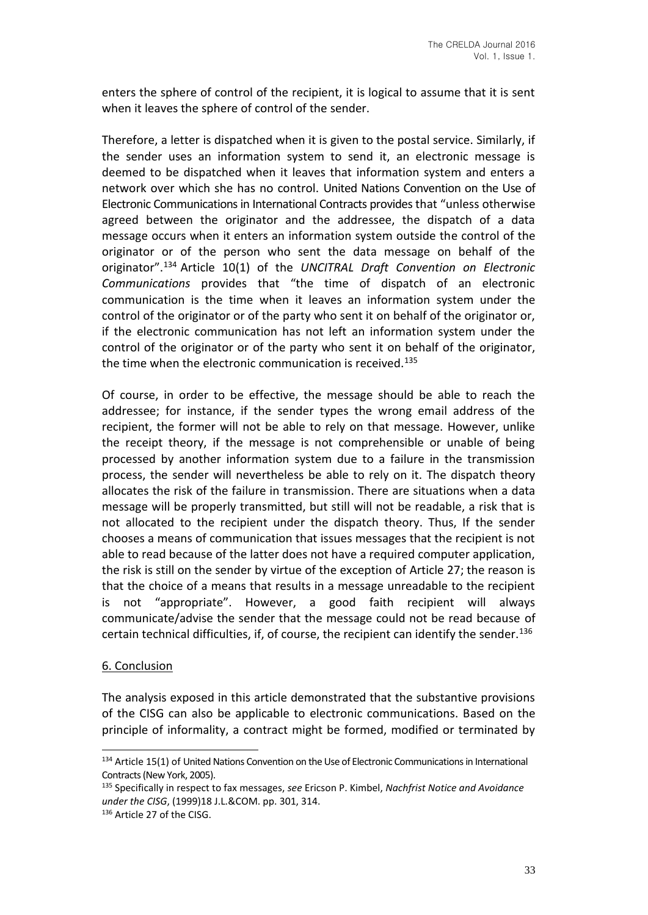enters the sphere of control of the recipient, it is logical to assume that it is sent when it leaves the sphere of control of the sender.

Therefore, a letter is dispatched when it is given to the postal service. Similarly, if the sender uses an information system to send it, an electronic message is deemed to be dispatched when it leaves that information system and enters a network over which she has no control. United Nations Convention on the Use of Electronic Communications in International Contracts provides that "unless otherwise agreed between the originator and the addressee, the dispatch of a data message occurs when it enters an information system outside the control of the originator or of the person who sent the data message on behalf of the originator".<sup>134</sup> Article 10(1) of the *UNCITRAL Draft Convention on Electronic Communications* provides that "the time of dispatch of an electronic communication is the time when it leaves an information system under the control of the originator or of the party who sent it on behalf of the originator or, if the electronic communication has not left an information system under the control of the originator or of the party who sent it on behalf of the originator, the time when the electronic communication is received.<sup>135</sup>

Of course, in order to be effective, the message should be able to reach the addressee; for instance, if the sender types the wrong email address of the recipient, the former will not be able to rely on that message. However, unlike the receipt theory, if the message is not comprehensible or unable of being processed by another information system due to a failure in the transmission process, the sender will nevertheless be able to rely on it. The dispatch theory allocates the risk of the failure in transmission. There are situations when a data message will be properly transmitted, but still will not be readable, a risk that is not allocated to the recipient under the dispatch theory. Thus, If the sender chooses a means of communication that issues messages that the recipient is not able to read because of the latter does not have a required computer application, the risk is still on the sender by virtue of the exception of Article 27; the reason is that the choice of a means that results in a message unreadable to the recipient is not "appropriate". However, a good faith recipient will always communicate/advise the sender that the message could not be read because of certain technical difficulties, if, of course, the recipient can identify the sender.<sup>136</sup>

#### 6. Conclusion

The analysis exposed in this article demonstrated that the substantive provisions of the CISG can also be applicable to electronic communications. Based on the principle of informality, a contract might be formed, modified or terminated by

<sup>134</sup> Article 15(1) of United Nations Convention on the Use of Electronic Communications in International Contracts (New York, 2005).

<sup>135</sup> Specifically in respect to fax messages, *see* Ericson P. Kimbel, *Nachfrist Notice and Avoidance under the CISG*, (1999)18 J.L.&COM. pp. 301, 314.

<sup>136</sup> Article 27 of the CISG.